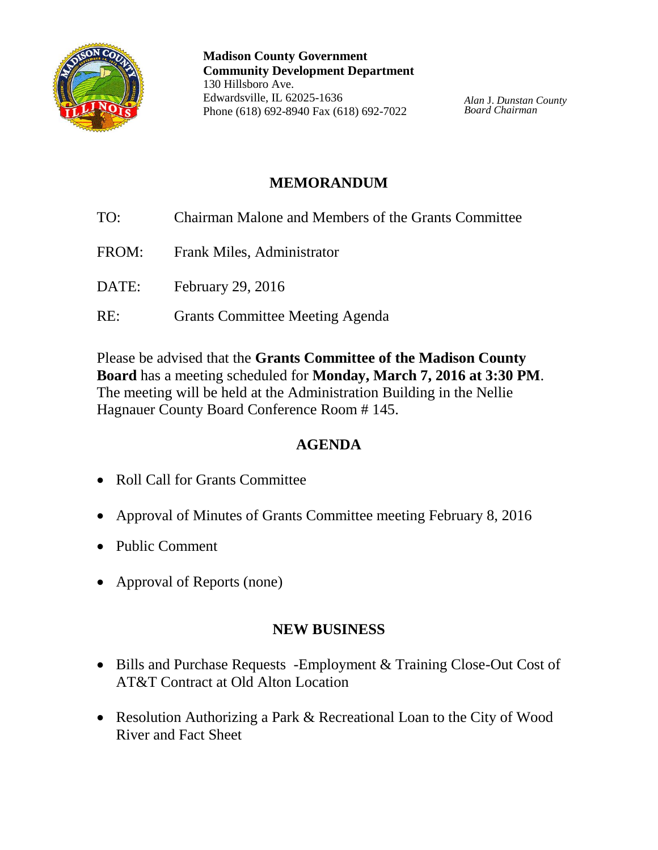

**Madison County Government Community Development Department** 130 Hillsboro Ave. Edwardsville, IL 62025-1636 Phone (618) 692-8940 Fax (618) 692-7022

*Alan* J. *Dunstan County Board Chairman*

# **MEMORANDUM**

- TO: Chairman Malone and Members of the Grants Committee
- FROM: Frank Miles, Administrator
- DATE: February 29, 2016
- RE: Grants Committee Meeting Agenda

Please be advised that the **Grants Committee of the Madison County Board** has a meeting scheduled for **Monday, March 7, 2016 at 3:30 PM**. The meeting will be held at the Administration Building in the Nellie Hagnauer County Board Conference Room # 145.

## **AGENDA**

- Roll Call for Grants Committee
- Approval of Minutes of Grants Committee meeting February 8, 2016
- Public Comment
- Approval of Reports (none)

#### **NEW BUSINESS**

- Bills and Purchase Requests -Employment & Training Close-Out Cost of AT&T Contract at Old Alton Location
- Resolution Authorizing a Park & Recreational Loan to the City of Wood River and Fact Sheet